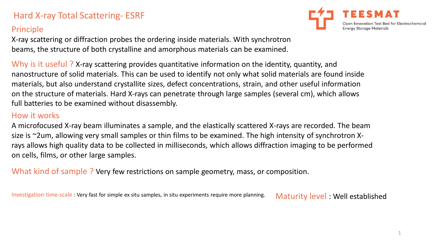# Hard X-ray Total Scattering- ESRF

### Principle

X-ray scattering or diffraction probes the ordering inside materials. With synchrotron beams, the structure of both crystalline and amorphous materials can be examined.

Why is it useful ? X-ray scattering provides quantitative information on the identity, quantity, and nanostructure of solid materials. This can be used to identify not only what solid materials are found inside materials, but also understand crystallite sizes, defect concentrations, strain, and other useful information on the structure of materials. Hard X-rays can penetrate through large samples (several cm), which allows full batteries to be examined without disassembly.

#### How it works

A microfocused X-ray beam illuminates a sample, and the elastically scattered X-rays are recorded. The beam size is ~2um, allowing very small samples or thin films to be examined. The high intensity of synchrotron Xrays allows high quality data to be collected in milliseconds, which allows diffraction imaging to be performed on cells, films, or other large samples.

What kind of sample ? Very few restrictions on sample geometry, mass, or composition.

Investigation time-scale : Very fast for simple ex situ samples, in situ experiments require more planning. Maturity level : Well established



1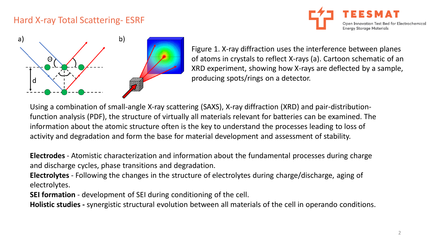### Hard X-ray Total Scattering- ESRF





Figure 1. X-ray diffraction uses the interference between planes of atoms in crystals to reflect X-rays (a). Cartoon schematic of an XRD experiment, showing how X-rays are deflected by a sample, producing spots/rings on a detector.

Using a combination of small-angle X-ray scattering (SAXS), X-ray diffraction (XRD) and pair-distributionfunction analysis (PDF), the structure of virtually all materials relevant for batteries can be examined. The information about the atomic structure often is the key to understand the processes leading to loss of activity and degradation and form the base for material development and assessment of stability.

**Electrodes** - Atomistic characterization and information about the fundamental processes during charge and discharge cycles, phase transitions and degradation.

**Electrolytes** - Following the changes in the structure of electrolytes during charge/discharge, aging of electrolytes.

**SEI formation** - development of SEI during conditioning of the cell.

**Holistic studies -** synergistic structural evolution between all materials of the cell in operando conditions.